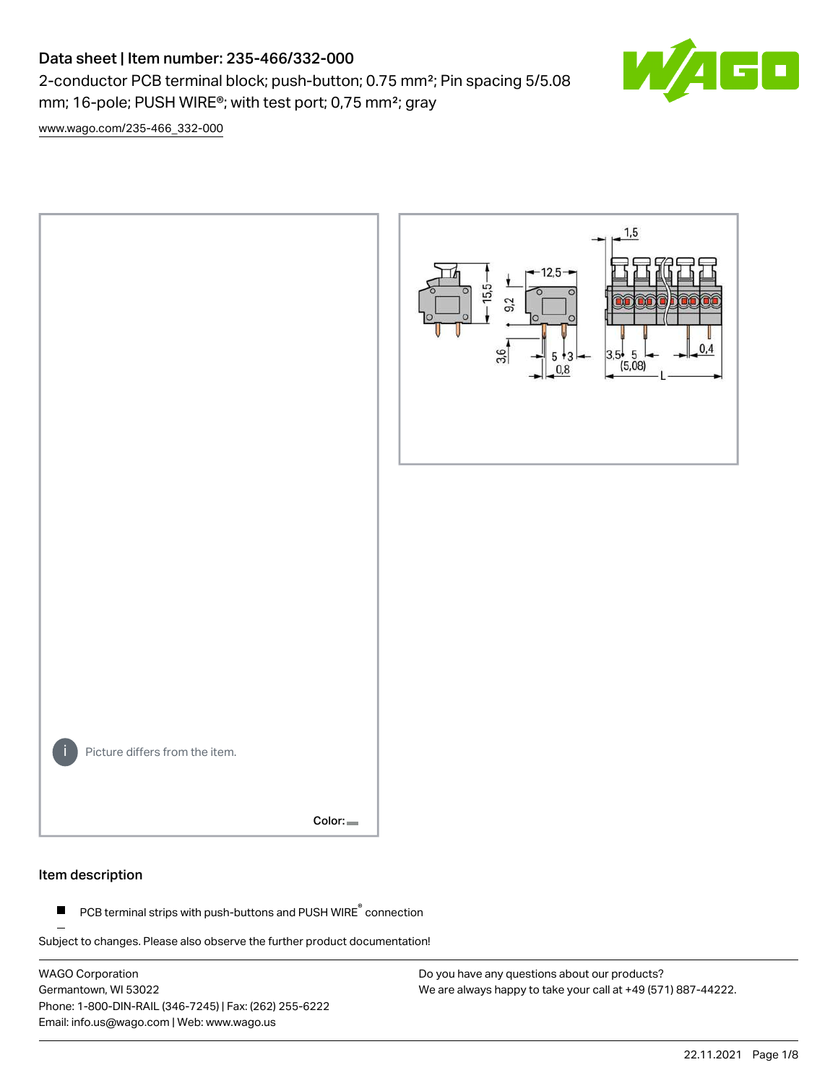# Data sheet | Item number: 235-466/332-000

2-conductor PCB terminal block; push-button; 0.75 mm²; Pin spacing 5/5.08 mm; 16-pole; PUSH WIRE®; with test port; 0,75 mm²; gray

 $\blacksquare$ 

[www.wago.com/235-466\\_332-000](http://www.wago.com/235-466_332-000)



#### Item description

PCB terminal strips with push-buttons and PUSH WIRE<sup>®</sup> connection  $\blacksquare$ 

Subject to changes. Please also observe the further product documentation!

WAGO Corporation Germantown, WI 53022 Phone: 1-800-DIN-RAIL (346-7245) | Fax: (262) 255-6222 Email: info.us@wago.com | Web: www.wago.us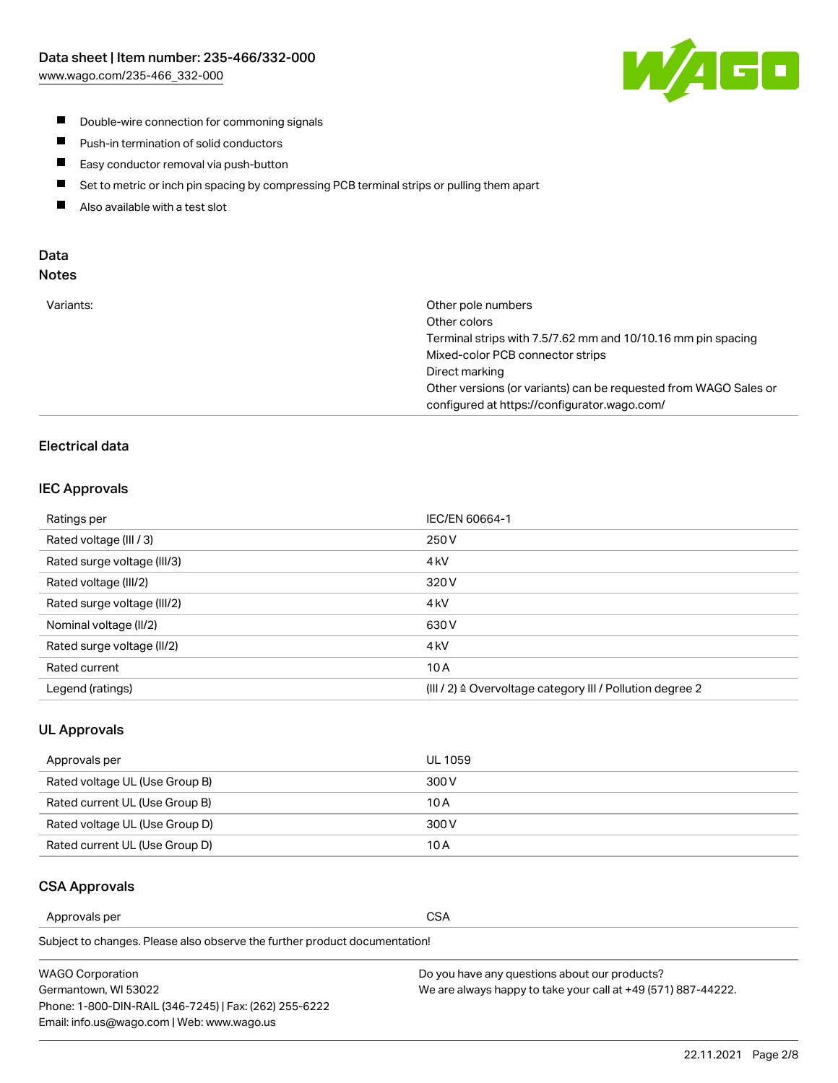

- **Double-wire connection for commoning signals**
- $\blacksquare$ Push-in termination of solid conductors
- Easy conductor removal via push-button  $\blacksquare$
- $\blacksquare$ Set to metric or inch pin spacing by compressing PCB terminal strips or pulling them apart
- $\blacksquare$ Also available with a test slot

#### Data Notes

| Variants: | Other pole numbers                                               |
|-----------|------------------------------------------------------------------|
|           | Other colors                                                     |
|           | Terminal strips with 7.5/7.62 mm and 10/10.16 mm pin spacing     |
|           | Mixed-color PCB connector strips                                 |
|           | Direct marking                                                   |
|           | Other versions (or variants) can be requested from WAGO Sales or |
|           | configured at https://configurator.wago.com/                     |
|           |                                                                  |

# Electrical data

#### IEC Approvals

| Ratings per                 | IEC/EN 60664-1                                                        |
|-----------------------------|-----------------------------------------------------------------------|
| Rated voltage (III / 3)     | 250 V                                                                 |
| Rated surge voltage (III/3) | 4 <sub>k</sub> V                                                      |
| Rated voltage (III/2)       | 320 V                                                                 |
| Rated surge voltage (III/2) | 4 <sub>kV</sub>                                                       |
| Nominal voltage (II/2)      | 630 V                                                                 |
| Rated surge voltage (II/2)  | 4 <sub>k</sub> V                                                      |
| Rated current               | 10A                                                                   |
| Legend (ratings)            | $(III / 2)$ $\triangle$ Overvoltage category III / Pollution degree 2 |

#### UL Approvals

| Approvals per                  | UL 1059 |
|--------------------------------|---------|
| Rated voltage UL (Use Group B) | 300 V   |
| Rated current UL (Use Group B) | 10 A    |
| Rated voltage UL (Use Group D) | 300 V   |
| Rated current UL (Use Group D) | 10 A    |

#### CSA Approvals

Approvals per CSA

Subject to changes. Please also observe the further product documentation!

| WAGO Corporation                                       | Do you have any questions about our products?                 |
|--------------------------------------------------------|---------------------------------------------------------------|
| Germantown, WI 53022                                   | We are always happy to take your call at +49 (571) 887-44222. |
| Phone: 1-800-DIN-RAIL (346-7245)   Fax: (262) 255-6222 |                                                               |
| Email: info.us@wago.com   Web: www.wago.us             |                                                               |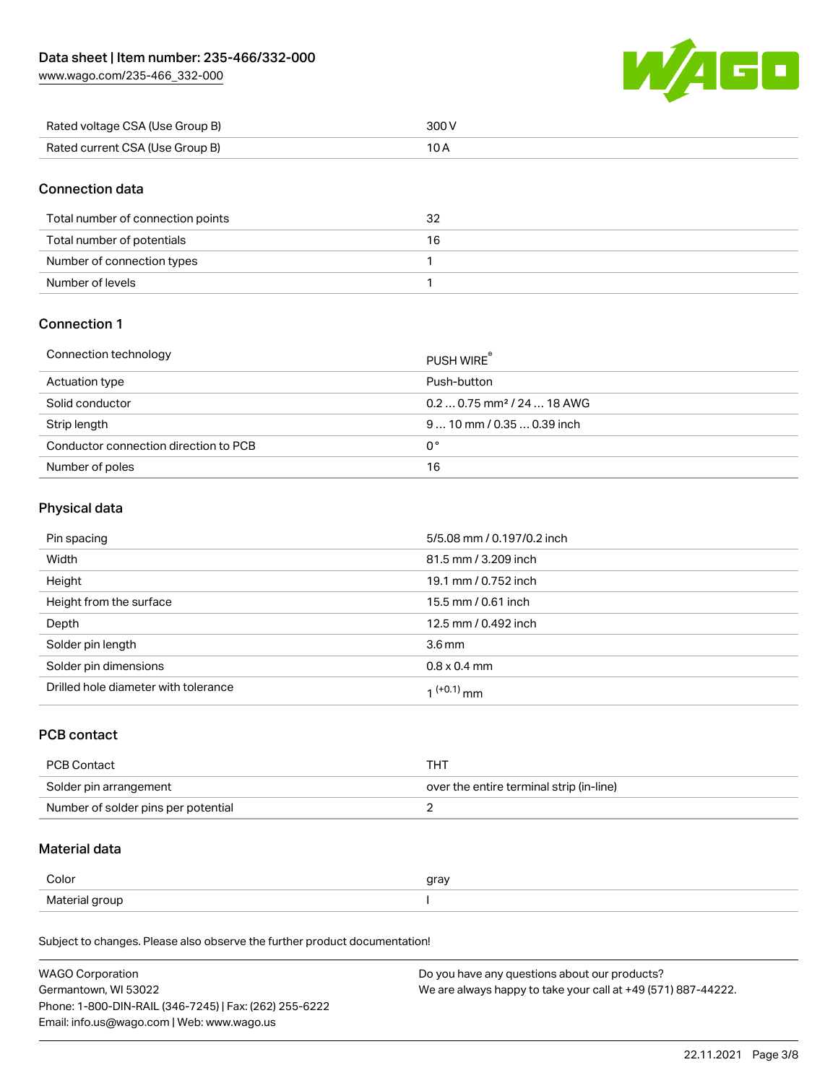[www.wago.com/235-466\\_332-000](http://www.wago.com/235-466_332-000)



| Rated voltage CSA (Use Group B) | 300 V |
|---------------------------------|-------|
| Rated current CSA (Use Group B) |       |

# Connection data

| Total number of connection points | 32 |
|-----------------------------------|----|
| Total number of potentials        | 16 |
| Number of connection types        |    |
| Number of levels                  |    |

# Connection 1

| Connection technology                 | PUSH WIRE <sup>®</sup>                 |
|---------------------------------------|----------------------------------------|
| Actuation type                        | Push-button                            |
| Solid conductor                       | $0.20.75$ mm <sup>2</sup> / 24  18 AWG |
| Strip length                          | $910$ mm $/0.350.39$ inch              |
| Conductor connection direction to PCB | 0°                                     |
| Number of poles                       | 16                                     |

### Physical data

| Pin spacing                          | 5/5.08 mm / 0.197/0.2 inch |
|--------------------------------------|----------------------------|
| Width                                | 81.5 mm / 3.209 inch       |
| Height                               | 19.1 mm / 0.752 inch       |
| Height from the surface              | 15.5 mm / 0.61 inch        |
| Depth                                | 12.5 mm / 0.492 inch       |
| Solder pin length                    | 3.6 <sub>mm</sub>          |
| Solder pin dimensions                | $0.8 \times 0.4$ mm        |
| Drilled hole diameter with tolerance | $1^{(+0.1)}$ mm            |

#### PCB contact

| <b>PCB Contact</b>                  | тнт                                      |
|-------------------------------------|------------------------------------------|
| Solder pin arrangement              | over the entire terminal strip (in-line) |
| Number of solder pins per potential |                                          |

# Material data

| Color          | gray |
|----------------|------|
| Material group |      |

Subject to changes. Please also observe the further product documentation!

| <b>WAGO Corporation</b>                                | Do you have any questions about our products?                 |
|--------------------------------------------------------|---------------------------------------------------------------|
| Germantown, WI 53022                                   | We are always happy to take your call at +49 (571) 887-44222. |
| Phone: 1-800-DIN-RAIL (346-7245)   Fax: (262) 255-6222 |                                                               |
| Email: info.us@wago.com   Web: www.wago.us             |                                                               |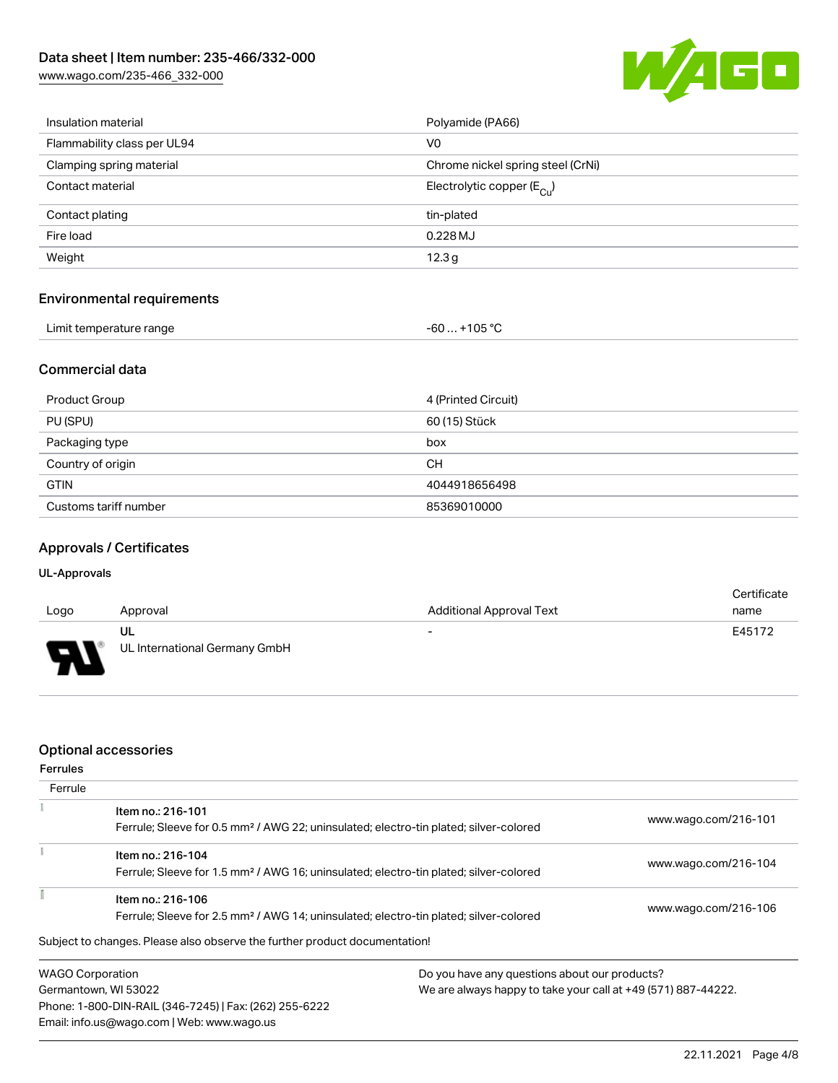[www.wago.com/235-466\\_332-000](http://www.wago.com/235-466_332-000)



| Insulation material               | Polyamide (PA66)                      |
|-----------------------------------|---------------------------------------|
| Flammability class per UL94       | V0                                    |
| Clamping spring material          | Chrome nickel spring steel (CrNi)     |
| Contact material                  | Electrolytic copper $(E_{\text{Cl}})$ |
| Contact plating                   | tin-plated                            |
| Fire load                         | 0.228 MJ                              |
| Weight                            | 12.3g                                 |
| <b>Environmental requirements</b> |                                       |

| Limit temperature range | -60  +105 °C |
|-------------------------|--------------|
|-------------------------|--------------|

# Commercial data

| Product Group         | 4 (Printed Circuit) |
|-----------------------|---------------------|
| PU (SPU)              | 60 (15) Stück       |
| Packaging type        | box                 |
| Country of origin     | CH.                 |
| <b>GTIN</b>           | 4044918656498       |
| Customs tariff number | 85369010000         |

# Approvals / Certificates

#### UL-Approvals

| Logo     | Approval                            | <b>Additional Approval Text</b> | Certificate<br>name |
|----------|-------------------------------------|---------------------------------|---------------------|
| J<br>. . | UL<br>UL International Germany GmbH | $\overline{\phantom{0}}$        | E45172              |

### Optional accessories

Email: info.us@wago.com | Web: www.wago.us

| <b>Ferrules</b>         |                                                                                                   |                                                               |                      |  |
|-------------------------|---------------------------------------------------------------------------------------------------|---------------------------------------------------------------|----------------------|--|
| Ferrule                 |                                                                                                   |                                                               |                      |  |
|                         | Item no.: 216-101                                                                                 |                                                               | www.wago.com/216-101 |  |
|                         | Ferrule; Sleeve for 0.5 mm <sup>2</sup> / AWG 22; uninsulated; electro-tin plated; silver-colored |                                                               |                      |  |
|                         | Item no.: 216-104                                                                                 |                                                               |                      |  |
|                         | Ferrule; Sleeve for 1.5 mm <sup>2</sup> / AWG 16; uninsulated; electro-tin plated; silver-colored |                                                               | www.wago.com/216-104 |  |
|                         | Item no.: 216-106                                                                                 |                                                               |                      |  |
|                         | Ferrule; Sleeve for 2.5 mm <sup>2</sup> / AWG 14; uninsulated; electro-tin plated; silver-colored |                                                               | www.wago.com/216-106 |  |
|                         | Subject to changes. Please also observe the further product documentation!                        |                                                               |                      |  |
| <b>WAGO Corporation</b> |                                                                                                   | Do you have any questions about our products?                 |                      |  |
| Germantown, WI 53022    |                                                                                                   | We are always happy to take your call at +49 (571) 887-44222. |                      |  |
|                         | Phone: 1-800-DIN-RAIL (346-7245)   Fax: (262) 255-6222                                            |                                                               |                      |  |

22.11.2021 Page 4/8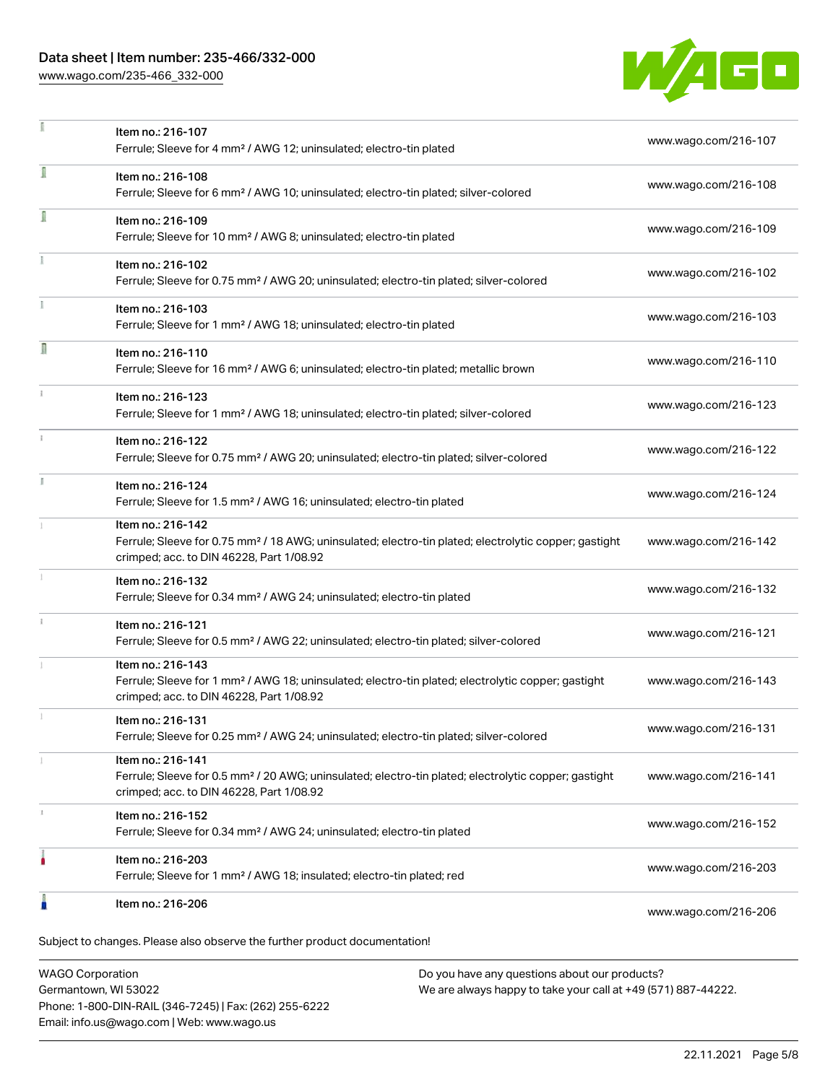### Data sheet | Item number: 235-466/332-000

[www.wago.com/235-466\\_332-000](http://www.wago.com/235-466_332-000)



|    | Item no.: 216-107<br>Ferrule; Sleeve for 4 mm <sup>2</sup> / AWG 12; uninsulated; electro-tin plated                                                                               | www.wago.com/216-107 |
|----|------------------------------------------------------------------------------------------------------------------------------------------------------------------------------------|----------------------|
| ī  | Item no.: 216-108<br>Ferrule; Sleeve for 6 mm <sup>2</sup> / AWG 10; uninsulated; electro-tin plated; silver-colored                                                               | www.wago.com/216-108 |
| Ī  | Item no.: 216-109<br>Ferrule; Sleeve for 10 mm <sup>2</sup> / AWG 8; uninsulated; electro-tin plated                                                                               | www.wago.com/216-109 |
|    | Item no.: 216-102<br>Ferrule; Sleeve for 0.75 mm <sup>2</sup> / AWG 20; uninsulated; electro-tin plated; silver-colored                                                            | www.wago.com/216-102 |
|    | Item no.: 216-103<br>Ferrule; Sleeve for 1 mm <sup>2</sup> / AWG 18; uninsulated; electro-tin plated                                                                               | www.wago.com/216-103 |
| Π  | Item no.: 216-110<br>Ferrule; Sleeve for 16 mm <sup>2</sup> / AWG 6; uninsulated; electro-tin plated; metallic brown                                                               | www.wago.com/216-110 |
|    | Item no.: 216-123<br>Ferrule; Sleeve for 1 mm <sup>2</sup> / AWG 18; uninsulated; electro-tin plated; silver-colored                                                               | www.wago.com/216-123 |
| ž. | Item no.: 216-122<br>Ferrule; Sleeve for 0.75 mm <sup>2</sup> / AWG 20; uninsulated; electro-tin plated; silver-colored                                                            | www.wago.com/216-122 |
| B  | Item no.: 216-124<br>Ferrule; Sleeve for 1.5 mm <sup>2</sup> / AWG 16; uninsulated; electro-tin plated                                                                             | www.wago.com/216-124 |
|    | Item no.: 216-142<br>Ferrule; Sleeve for 0.75 mm <sup>2</sup> / 18 AWG; uninsulated; electro-tin plated; electrolytic copper; gastight<br>crimped; acc. to DIN 46228, Part 1/08.92 | www.wago.com/216-142 |
|    | Item no.: 216-132<br>Ferrule; Sleeve for 0.34 mm <sup>2</sup> / AWG 24; uninsulated; electro-tin plated                                                                            | www.wago.com/216-132 |
|    | Item no.: 216-121<br>Ferrule; Sleeve for 0.5 mm <sup>2</sup> / AWG 22; uninsulated; electro-tin plated; silver-colored                                                             | www.wago.com/216-121 |
|    | Item no.: 216-143<br>Ferrule; Sleeve for 1 mm <sup>2</sup> / AWG 18; uninsulated; electro-tin plated; electrolytic copper; gastight<br>crimped; acc. to DIN 46228, Part 1/08.92    | www.wago.com/216-143 |
|    | Item no.: 216-131<br>Ferrule; Sleeve for 0.25 mm <sup>2</sup> / AWG 24; uninsulated; electro-tin plated; silver-colored                                                            | www.wago.com/216-131 |
|    | Item no.: 216-141<br>Ferrule; Sleeve for 0.5 mm <sup>2</sup> / 20 AWG; uninsulated; electro-tin plated; electrolytic copper; gastight<br>crimped; acc. to DIN 46228, Part 1/08.92  | www.wago.com/216-141 |
|    | Item no.: 216-152<br>Ferrule; Sleeve for 0.34 mm <sup>2</sup> / AWG 24; uninsulated; electro-tin plated                                                                            | www.wago.com/216-152 |
|    | Item no.: 216-203<br>Ferrule; Sleeve for 1 mm <sup>2</sup> / AWG 18; insulated; electro-tin plated; red                                                                            | www.wago.com/216-203 |
|    | Item no.: 216-206                                                                                                                                                                  | www.wago.com/216-206 |

WAGO Corporation Germantown, WI 53022 Phone: 1-800-DIN-RAIL (346-7245) | Fax: (262) 255-6222 Email: info.us@wago.com | Web: www.wago.us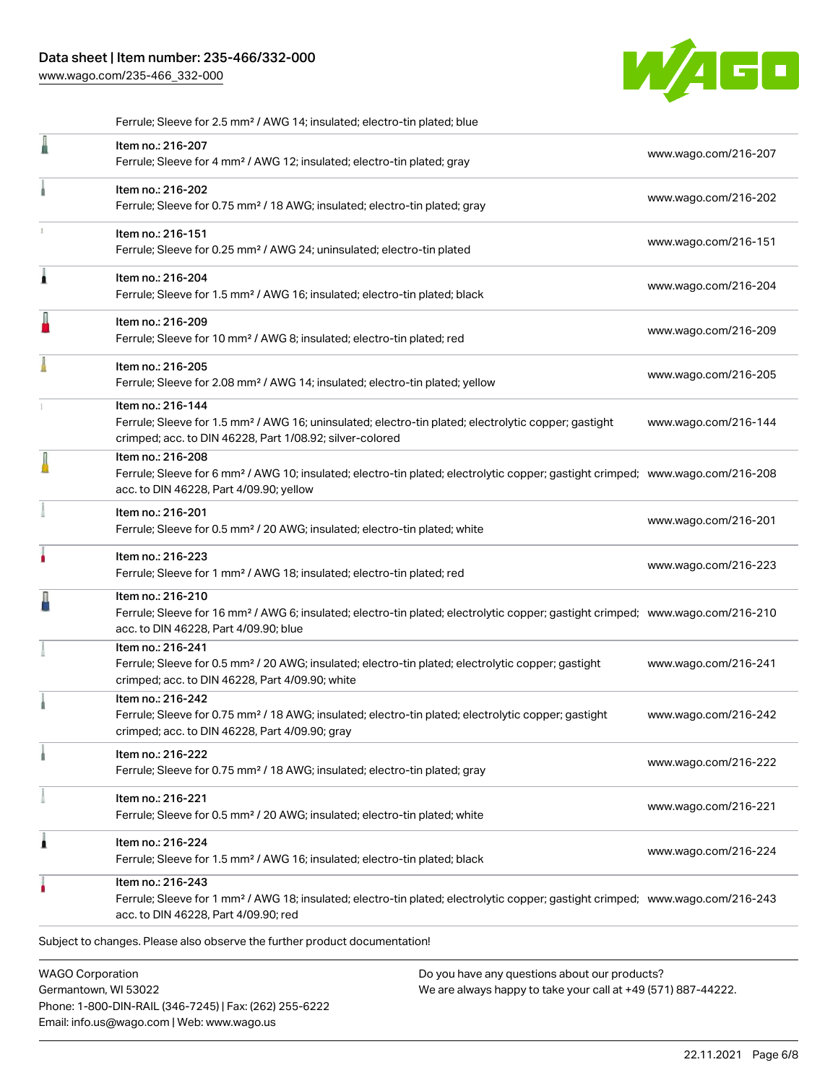[www.wago.com/235-466\\_332-000](http://www.wago.com/235-466_332-000)



|   | Ferrule; Sleeve for 2.5 mm <sup>2</sup> / AWG 14; insulated; electro-tin plated; blue                                                                                                                      |                      |
|---|------------------------------------------------------------------------------------------------------------------------------------------------------------------------------------------------------------|----------------------|
| I | Item no.: 216-207<br>Ferrule; Sleeve for 4 mm <sup>2</sup> / AWG 12; insulated; electro-tin plated; gray                                                                                                   | www.wago.com/216-207 |
|   | Item no.: 216-202<br>Ferrule; Sleeve for 0.75 mm <sup>2</sup> / 18 AWG; insulated; electro-tin plated; gray                                                                                                | www.wago.com/216-202 |
|   | Item no.: 216-151<br>Ferrule; Sleeve for 0.25 mm <sup>2</sup> / AWG 24; uninsulated; electro-tin plated                                                                                                    | www.wago.com/216-151 |
| Â | Item no.: 216-204<br>Ferrule; Sleeve for 1.5 mm <sup>2</sup> / AWG 16; insulated; electro-tin plated; black                                                                                                | www.wago.com/216-204 |
| I | Item no.: 216-209<br>Ferrule; Sleeve for 10 mm <sup>2</sup> / AWG 8; insulated; electro-tin plated; red                                                                                                    | www.wago.com/216-209 |
|   | Item no.: 216-205<br>Ferrule; Sleeve for 2.08 mm <sup>2</sup> / AWG 14; insulated; electro-tin plated; yellow                                                                                              | www.wago.com/216-205 |
|   | Item no.: 216-144<br>Ferrule; Sleeve for 1.5 mm <sup>2</sup> / AWG 16; uninsulated; electro-tin plated; electrolytic copper; gastight<br>crimped; acc. to DIN 46228, Part 1/08.92; silver-colored          | www.wago.com/216-144 |
|   | Item no.: 216-208<br>Ferrule; Sleeve for 6 mm <sup>2</sup> / AWG 10; insulated; electro-tin plated; electrolytic copper; gastight crimped; www.wago.com/216-208<br>acc. to DIN 46228, Part 4/09.90; yellow |                      |
|   | Item no.: 216-201<br>Ferrule; Sleeve for 0.5 mm <sup>2</sup> / 20 AWG; insulated; electro-tin plated; white                                                                                                | www.wago.com/216-201 |
|   | Item no.: 216-223<br>Ferrule; Sleeve for 1 mm <sup>2</sup> / AWG 18; insulated; electro-tin plated; red                                                                                                    | www.wago.com/216-223 |
|   | Item no.: 216-210<br>Ferrule; Sleeve for 16 mm <sup>2</sup> / AWG 6; insulated; electro-tin plated; electrolytic copper; gastight crimped; www.wago.com/216-210<br>acc. to DIN 46228, Part 4/09.90; blue   |                      |
|   | Item no.: 216-241<br>Ferrule; Sleeve for 0.5 mm <sup>2</sup> / 20 AWG; insulated; electro-tin plated; electrolytic copper; gastight<br>crimped; acc. to DIN 46228, Part 4/09.90; white                     | www.wago.com/216-241 |
|   | Item no.: 216-242<br>Ferrule; Sleeve for 0.75 mm <sup>2</sup> / 18 AWG; insulated; electro-tin plated; electrolytic copper; gastight<br>crimped; acc. to DIN 46228, Part 4/09.90; gray                     | www.wago.com/216-242 |
|   | Item no.: 216-222<br>Ferrule; Sleeve for 0.75 mm <sup>2</sup> / 18 AWG; insulated; electro-tin plated; gray                                                                                                | www.wago.com/216-222 |
|   | Item no.: 216-221<br>Ferrule; Sleeve for 0.5 mm <sup>2</sup> / 20 AWG; insulated; electro-tin plated; white                                                                                                | www.wago.com/216-221 |
| Â | Item no.: 216-224<br>Ferrule; Sleeve for 1.5 mm <sup>2</sup> / AWG 16; insulated; electro-tin plated; black                                                                                                | www.wago.com/216-224 |
|   | Item no.: 216-243<br>Ferrule; Sleeve for 1 mm <sup>2</sup> / AWG 18; insulated; electro-tin plated; electrolytic copper; gastight crimped; www.wago.com/216-243<br>acc. to DIN 46228, Part 4/09.90; red    |                      |
|   | Subject to changes. Please also observe the further product documentation!                                                                                                                                 |                      |
|   | <b>WAGO Corporation</b><br>Do you have any questions about our products?                                                                                                                                   |                      |

Germantown, WI 53022 Phone: 1-800-DIN-RAIL (346-7245) | Fax: (262) 255-6222 Email: info.us@wago.com | Web: www.wago.us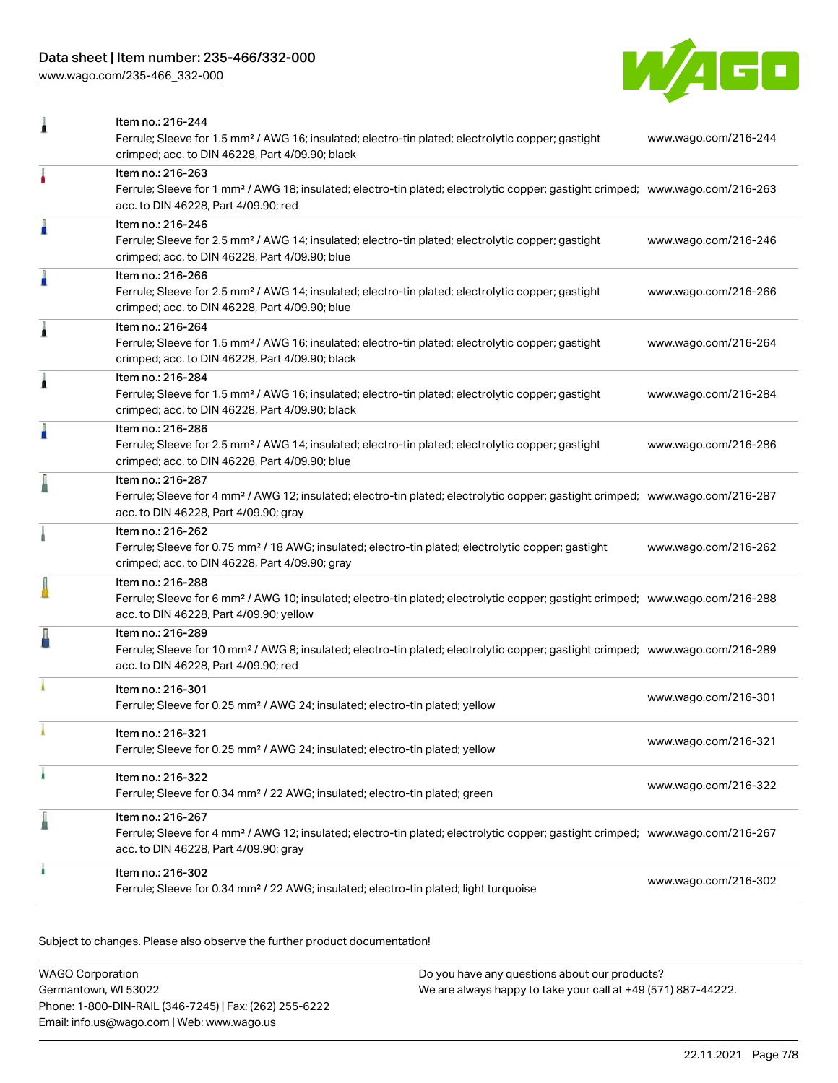# Data sheet | Item number: 235-466/332-000

[www.wago.com/235-466\\_332-000](http://www.wago.com/235-466_332-000)



| 1 | Item no.: 216-244<br>Ferrule; Sleeve for 1.5 mm <sup>2</sup> / AWG 16; insulated; electro-tin plated; electrolytic copper; gastight<br>crimped; acc. to DIN 46228, Part 4/09.90; black                     | www.wago.com/216-244 |
|---|------------------------------------------------------------------------------------------------------------------------------------------------------------------------------------------------------------|----------------------|
|   | Item no.: 216-263<br>Ferrule; Sleeve for 1 mm <sup>2</sup> / AWG 18; insulated; electro-tin plated; electrolytic copper; gastight crimped; www.wago.com/216-263<br>acc. to DIN 46228, Part 4/09.90; red    |                      |
| I | Item no.: 216-246<br>Ferrule; Sleeve for 2.5 mm <sup>2</sup> / AWG 14; insulated; electro-tin plated; electrolytic copper; gastight<br>crimped; acc. to DIN 46228, Part 4/09.90; blue                      | www.wago.com/216-246 |
| I | Item no.: 216-266<br>Ferrule; Sleeve for 2.5 mm <sup>2</sup> / AWG 14; insulated; electro-tin plated; electrolytic copper; gastight<br>crimped; acc. to DIN 46228, Part 4/09.90; blue                      | www.wago.com/216-266 |
| Â | Item no.: 216-264<br>Ferrule; Sleeve for 1.5 mm <sup>2</sup> / AWG 16; insulated; electro-tin plated; electrolytic copper; gastight<br>crimped; acc. to DIN 46228, Part 4/09.90; black                     | www.wago.com/216-264 |
| Â | Item no.: 216-284<br>Ferrule; Sleeve for 1.5 mm <sup>2</sup> / AWG 16; insulated; electro-tin plated; electrolytic copper; gastight<br>crimped; acc. to DIN 46228, Part 4/09.90; black                     | www.wago.com/216-284 |
| A | Item no.: 216-286<br>Ferrule; Sleeve for 2.5 mm <sup>2</sup> / AWG 14; insulated; electro-tin plated; electrolytic copper; gastight<br>crimped; acc. to DIN 46228, Part 4/09.90; blue                      | www.wago.com/216-286 |
| ä | Item no.: 216-287<br>Ferrule; Sleeve for 4 mm <sup>2</sup> / AWG 12; insulated; electro-tin plated; electrolytic copper; gastight crimped; www.wago.com/216-287<br>acc. to DIN 46228, Part 4/09.90; gray   |                      |
|   | Item no.: 216-262<br>Ferrule; Sleeve for 0.75 mm <sup>2</sup> / 18 AWG; insulated; electro-tin plated; electrolytic copper; gastight<br>crimped; acc. to DIN 46228, Part 4/09.90; gray                     | www.wago.com/216-262 |
|   | Item no.: 216-288<br>Ferrule; Sleeve for 6 mm <sup>2</sup> / AWG 10; insulated; electro-tin plated; electrolytic copper; gastight crimped; www.wago.com/216-288<br>acc. to DIN 46228, Part 4/09.90; yellow |                      |
|   | Item no.: 216-289<br>Ferrule; Sleeve for 10 mm <sup>2</sup> / AWG 8; insulated; electro-tin plated; electrolytic copper; gastight crimped; www.wago.com/216-289<br>acc. to DIN 46228, Part 4/09.90; red    |                      |
|   | Item no.: 216-301<br>Ferrule; Sleeve for 0.25 mm <sup>2</sup> / AWG 24; insulated; electro-tin plated; yellow                                                                                              | www.wago.com/216-301 |
|   | Item no.: 216-321<br>Ferrule; Sleeve for 0.25 mm <sup>2</sup> / AWG 24; insulated; electro-tin plated; yellow                                                                                              | www.wago.com/216-321 |
| ۸ | Item no.: 216-322<br>Ferrule; Sleeve for 0.34 mm <sup>2</sup> / 22 AWG; insulated; electro-tin plated; green                                                                                               | www.wago.com/216-322 |
| ä | Item no.: 216-267<br>Ferrule; Sleeve for 4 mm <sup>2</sup> / AWG 12; insulated; electro-tin plated; electrolytic copper; gastight crimped; www.wago.com/216-267<br>acc. to DIN 46228, Part 4/09.90; gray   |                      |
|   | Item no.: 216-302<br>Ferrule; Sleeve for 0.34 mm <sup>2</sup> / 22 AWG; insulated; electro-tin plated; light turquoise                                                                                     | www.wago.com/216-302 |

Subject to changes. Please also observe the further product documentation!

| WAGO Corporation                                       | Do you have any questions about our products?                 |
|--------------------------------------------------------|---------------------------------------------------------------|
| Germantown, WI 53022                                   | We are always happy to take your call at +49 (571) 887-44222. |
| Phone: 1-800-DIN-RAIL (346-7245)   Fax: (262) 255-6222 |                                                               |
| Email: info.us@wago.com   Web: www.wago.us             |                                                               |